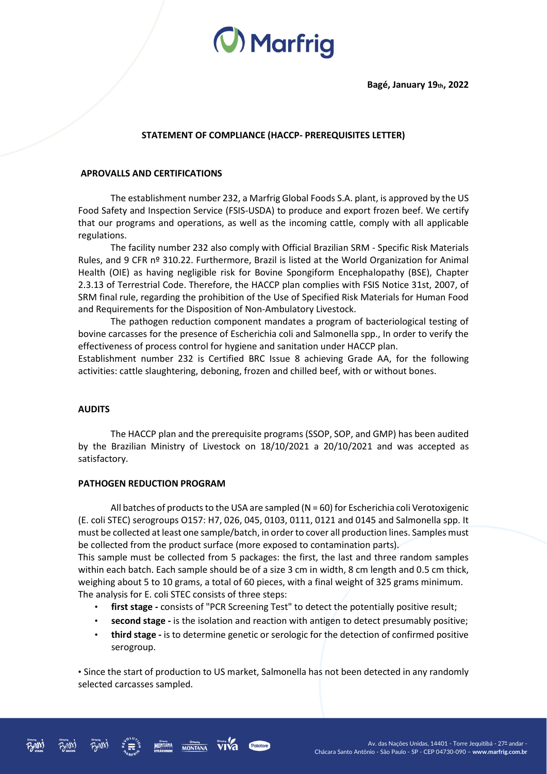# (V) Marfrig

## **STATEMENT OF COMPLIANCE (HACCP- PREREQUISITES LETTER)**

### **APROVALLS AND CERTIFICATIONS**

The establishment number 232, a Marfrig Global Foods S.A. plant, is approved by the US Food Safety and Inspection Service (FSIS-USDA) to produce and export frozen beef. We certify that our programs and operations, as well as the incoming cattle, comply with all applicable regulations.

The facility number 232 also comply with Official Brazilian SRM - Specific Risk Materials Rules, and 9 CFR nº 310.22. Furthermore, Brazil is listed at the World Organization for Animal Health (OIE) as having negligible risk for Bovine Spongiform Encephalopathy (BSE), Chapter 2.3.13 of Terrestrial Code. Therefore, the HACCP plan complies with FSIS Notice 31st, 2007, of SRM final rule, regarding the prohibition of the Use of Specified Risk Materials for Human Food and Requirements for the Disposition of Non-Ambulatory Livestock.

The pathogen reduction component mandates a program of bacteriological testing of bovine carcasses for the presence of Escherichia coli and Salmonella spp., In order to verify the effectiveness of process control for hygiene and sanitation under HACCP plan.

Establishment number 232 is Certified BRC Issue 8 achieving Grade AA, for the following activities: cattle slaughtering, deboning, frozen and chilled beef, with or without bones.

#### **AUDITS**

The HACCP plan and the prerequisite programs (SSOP, SOP, and GMP) has been audited by the Brazilian Ministry of Livestock on 18/10/2021 a 20/10/2021 and was accepted as satisfactory.

#### **PATHOGEN REDUCTION PROGRAM**

All batches of products to the USA are sampled ( $N = 60$ ) for Escherichia coli Verotoxigenic (E. coli STEC) serogroups O157: H7, 026, 045, 0103, 0111, 0121 and 0145 and Salmonella spp. It must be collected at least one sample/batch, in order to cover all production lines. Samples must be collected from the product surface (more exposed to contamination parts).

This sample must be collected from 5 packages: the first, the last and three random samples within each batch. Each sample should be of a size 3 cm in width, 8 cm length and 0.5 cm thick, weighing about 5 to 10 grams, a total of 60 pieces, with a final weight of 325 grams minimum. The analysis for E. coli STEC consists of three steps:

- **first stage -** consists of "PCR Screening Test" to detect the potentially positive result;
- **second stage -** is the isolation and reaction with antigen to detect presumably positive;
- **third stage -** is to determine genetic or serologic for the detection of confirmed positive serogroup.

• Since the start of production to US market, Salmonella has not been detected in any randomly selected carcasses sampled.